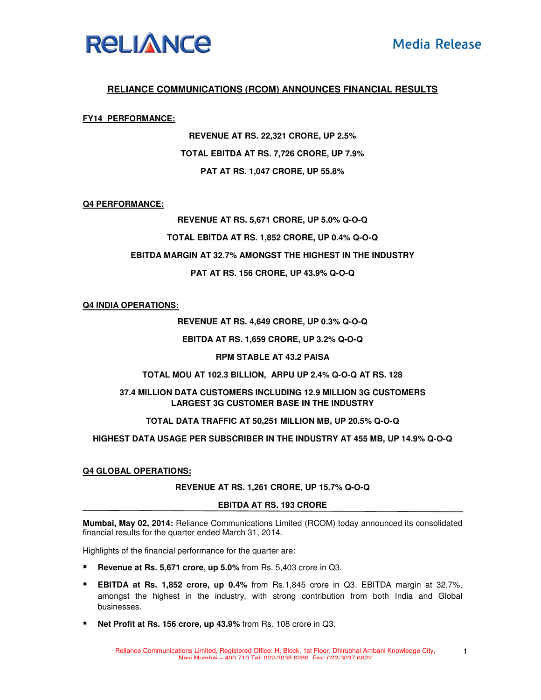

# **RELIANCE COMMUNICATIONS (RCOM) ANNOUNCES FINANCIAL RESULTS**

#### **FY14 PERFORMANCE:**

**REVENUE AT RS. 22,321 CRORE, UP 2.5% TOTAL EBITDA AT RS. 7,726 CRORE, UP 7.9% PAT AT RS. 1,047 CRORE, UP 55.8%** 

#### **Q4 PERFORMANCE:**

**REVENUE AT RS. 5,671 CRORE, UP 5.0% Q-O-Q TOTAL EBITDA AT RS. 1,852 CRORE, UP 0.4% Q-O-Q EBITDA MARGIN AT 32.7% AMONGST THE HIGHEST IN THE INDUSTRY PAT AT RS. 156 CRORE, UP 43.9% Q-O-Q**

# **Q4 INDIA OPERATIONS:**

**REVENUE AT RS. 4,649 CRORE, UP 0.3% Q-O-Q** 

**EBITDA AT RS. 1,659 CRORE, UP 3.2% Q-O-Q** 

**RPM STABLE AT 43.2 PAISA** 

# **TOTAL MOU AT 102.3 BILLION, ARPU UP 2.4% Q-O-Q AT RS. 128**

# **37.4 MILLION DATA CUSTOMERS INCLUDING 12.9 MILLION 3G CUSTOMERS LARGEST 3G CUSTOMER BASE IN THE INDUSTRY**

# **TOTAL DATA TRAFFIC AT 50,251 MILLION MB, UP 20.5% Q-O-Q**

# **HIGHEST DATA USAGE PER SUBSCRIBER IN THE INDUSTRY AT 455 MB, UP 14.9% Q-O-Q**

#### **Q4 GLOBAL OPERATIONS:**

#### **REVENUE AT RS. 1,261 CRORE, UP 15.7% Q-O-Q**

#### **EBITDA AT RS. 193 CRORE**

**Mumbai, May 02, 2014:** Reliance Communications Limited (RCOM) today announced its consolidated financial results for the quarter ended March 31, 2014.

Highlights of the financial performance for the quarter are:

- **Revenue at Rs. 5,671 crore, up 5.0%** from Rs. 5,403 crore in Q3.
- **EBITDA at Rs. 1,852 crore, up 0.4%** from Rs.1,845 crore in Q3. EBITDA margin at 32.7%, amongst the highest in the industry, with strong contribution from both India and Global businesses.
- **Net Profit at Rs. 156 crore, up 43.9%** from Rs. 108 crore in Q3.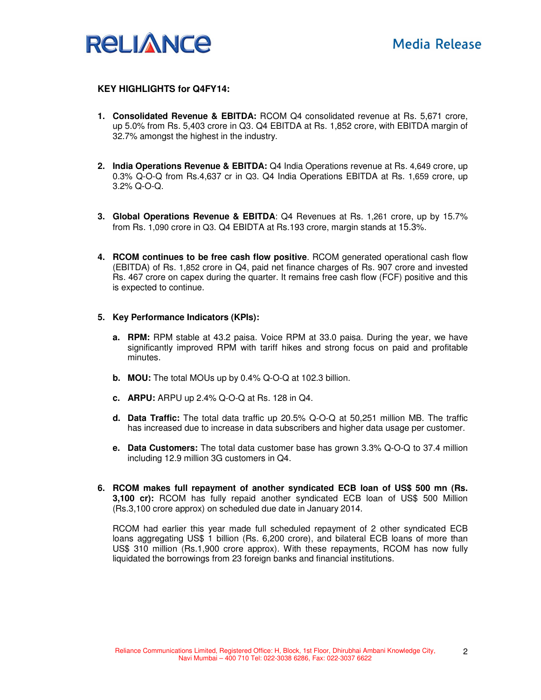

# **KEY HIGHLIGHTS for Q4FY14:**

- **1. Consolidated Revenue & EBITDA:** RCOM Q4 consolidated revenue at Rs. 5,671 crore, up 5.0% from Rs. 5,403 crore in Q3. Q4 EBITDA at Rs. 1,852 crore, with EBITDA margin of 32.7% amongst the highest in the industry.
- **2. India Operations Revenue & EBITDA:** Q4 India Operations revenue at Rs. 4,649 crore, up 0.3% Q-O-Q from Rs.4,637 cr in Q3. Q4 India Operations EBITDA at Rs. 1,659 crore, up 3.2% Q-O-Q.
- **3. Global Operations Revenue & EBITDA**: Q4 Revenues at Rs. 1,261 crore, up by 15.7% from Rs. 1,090 crore in Q3. Q4 EBIDTA at Rs.193 crore, margin stands at 15.3%.
- **4. RCOM continues to be free cash flow positive**. RCOM generated operational cash flow (EBITDA) of Rs. 1,852 crore in Q4, paid net finance charges of Rs. 907 crore and invested Rs. 467 crore on capex during the quarter. It remains free cash flow (FCF) positive and this is expected to continue.

#### **5. Key Performance Indicators (KPIs):**

- **a. RPM:** RPM stable at 43.2 paisa. Voice RPM at 33.0 paisa. During the year, we have significantly improved RPM with tariff hikes and strong focus on paid and profitable minutes.
- **b. MOU:** The total MOUs up by 0.4% Q-O-Q at 102.3 billion.
- **c. ARPU:** ARPU up 2.4% Q-O-Q at Rs. 128 in Q4.
- **d. Data Traffic:** The total data traffic up 20.5% Q-O-Q at 50,251 million MB. The traffic has increased due to increase in data subscribers and higher data usage per customer.
- **e. Data Customers:** The total data customer base has grown 3.3% Q-O-Q to 37.4 million including 12.9 million 3G customers in Q4.
- **6. RCOM makes full repayment of another syndicated ECB loan of US\$ 500 mn (Rs. 3,100 cr):** RCOM has fully repaid another syndicated ECB loan of US\$ 500 Million (Rs.3,100 crore approx) on scheduled due date in January 2014.

RCOM had earlier this year made full scheduled repayment of 2 other syndicated ECB loans aggregating US\$ 1 billion (Rs. 6,200 crore), and bilateral ECB loans of more than US\$ 310 million (Rs.1,900 crore approx). With these repayments, RCOM has now fully liquidated the borrowings from 23 foreign banks and financial institutions.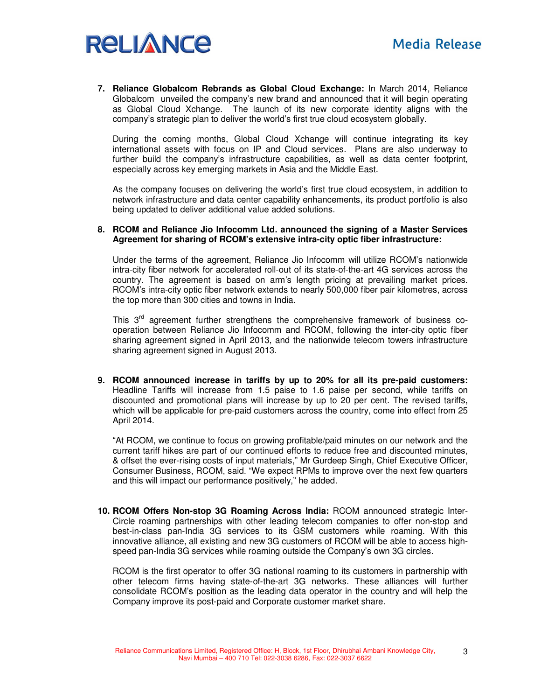

**7. Reliance Globalcom Rebrands as Global Cloud Exchange:** In March 2014, Reliance Globalcom unveiled the company's new brand and announced that it will begin operating as Global Cloud Xchange. The launch of its new corporate identity aligns with the company's strategic plan to deliver the world's first true cloud ecosystem globally.

During the coming months, Global Cloud Xchange will continue integrating its key international assets with focus on IP and Cloud services. Plans are also underway to further build the company's infrastructure capabilities, as well as data center footprint, especially across key emerging markets in Asia and the Middle East.

As the company focuses on delivering the world's first true cloud ecosystem, in addition to network infrastructure and data center capability enhancements, its product portfolio is also being updated to deliver additional value added solutions.

#### **8. RCOM and Reliance Jio Infocomm Ltd. announced the signing of a Master Services Agreement for sharing of RCOM's extensive intra-city optic fiber infrastructure:**

Under the terms of the agreement, Reliance Jio Infocomm will utilize RCOM's nationwide intra-city fiber network for accelerated roll-out of its state-of-the-art 4G services across the country. The agreement is based on arm's length pricing at prevailing market prices. RCOM's intra-city optic fiber network extends to nearly 500,000 fiber pair kilometres, across the top more than 300 cities and towns in India.

This 3<sup>rd</sup> agreement further strengthens the comprehensive framework of business cooperation between Reliance Jio Infocomm and RCOM, following the inter-city optic fiber sharing agreement signed in April 2013, and the nationwide telecom towers infrastructure sharing agreement signed in August 2013.

**9. RCOM announced increase in tariffs by up to 20% for all its pre-paid customers:** Headline Tariffs will increase from 1.5 paise to 1.6 paise per second, while tariffs on discounted and promotional plans will increase by up to 20 per cent. The revised tariffs, which will be applicable for pre-paid customers across the country, come into effect from 25 April 2014.

"At RCOM, we continue to focus on growing profitable/paid minutes on our network and the current tariff hikes are part of our continued efforts to reduce free and discounted minutes, & offset the ever-rising costs of input materials," Mr Gurdeep Singh, Chief Executive Officer, Consumer Business, RCOM, said. "We expect RPMs to improve over the next few quarters and this will impact our performance positively," he added.

**10. RCOM Offers Non-stop 3G Roaming Across India:** RCOM announced strategic Inter-Circle roaming partnerships with other leading telecom companies to offer non-stop and best-in-class pan-India 3G services to its GSM customers while roaming. With this innovative alliance, all existing and new 3G customers of RCOM will be able to access highspeed pan-India 3G services while roaming outside the Company's own 3G circles.

RCOM is the first operator to offer 3G national roaming to its customers in partnership with other telecom firms having state-of-the-art 3G networks. These alliances will further consolidate RCOM's position as the leading data operator in the country and will help the Company improve its post-paid and Corporate customer market share.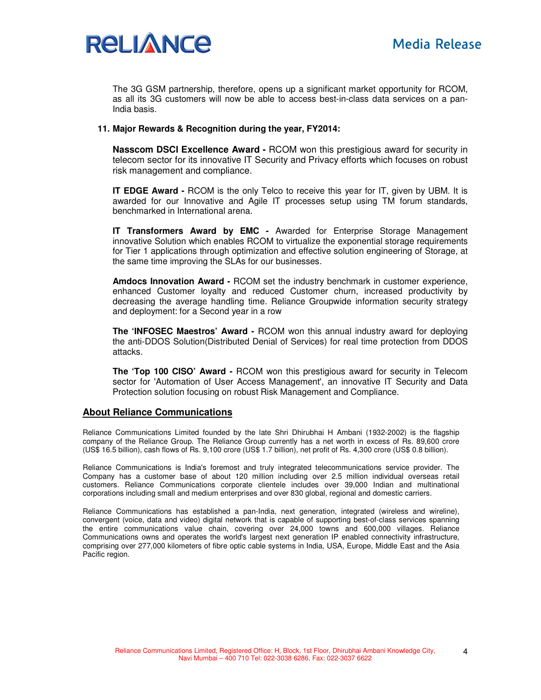

The 3G GSM partnership, therefore, opens up a significant market opportunity for RCOM, as all its 3G customers will now be able to access best-in-class data services on a pan-India basis.

# **11. Major Rewards & Recognition during the year, FY2014:**

**Nasscom DSCI Excellence Award -** RCOM won this prestigious award for security in telecom sector for its innovative IT Security and Privacy efforts which focuses on robust risk management and compliance.

**IT EDGE Award -** RCOM is the only Telco to receive this year for IT, given by UBM. It is awarded for our Innovative and Agile IT processes setup using TM forum standards, benchmarked in International arena.

**IT Transformers Award by EMC -** Awarded for Enterprise Storage Management innovative Solution which enables RCOM to virtualize the exponential storage requirements for Tier 1 applications through optimization and effective solution engineering of Storage, at the same time improving the SLAs for our businesses.

**Amdocs Innovation Award -** RCOM set the industry benchmark in customer experience, enhanced Customer loyalty and reduced Customer churn, increased productivity by decreasing the average handling time. Reliance Groupwide information security strategy and deployment: for a Second year in a row

**The 'INFOSEC Maestros' Award -** RCOM won this annual industry award for deploying the anti-DDOS Solution(Distributed Denial of Services) for real time protection from DDOS attacks.

**The 'Top 100 CISO' Award -** RCOM won this prestigious award for security in Telecom sector for 'Automation of User Access Management', an innovative IT Security and Data Protection solution focusing on robust Risk Management and Compliance.

# **About Reliance Communications**

Reliance Communications Limited founded by the late Shri Dhirubhai H Ambani (1932-2002) is the flagship company of the Reliance Group. The Reliance Group currently has a net worth in excess of Rs. 89,600 crore (US\$ 16.5 billion), cash flows of Rs. 9,100 crore (US\$ 1.7 billion), net profit of Rs. 4,300 crore (US\$ 0.8 billion).

Reliance Communications is India's foremost and truly integrated telecommunications service provider. The Company has a customer base of about 120 million including over 2.5 million individual overseas retail customers. Reliance Communications corporate clientele includes over 39,000 Indian and multinational corporations including small and medium enterprises and over 830 global, regional and domestic carriers.

Reliance Communications has established a pan-India, next generation, integrated (wireless and wireline), convergent (voice, data and video) digital network that is capable of supporting best-of-class services spanning the entire communications value chain, covering over 24,000 towns and 600,000 villages. Reliance Communications owns and operates the world's largest next generation IP enabled connectivity infrastructure, comprising over 277,000 kilometers of fibre optic cable systems in India, USA, Europe, Middle East and the Asia Pacific region.